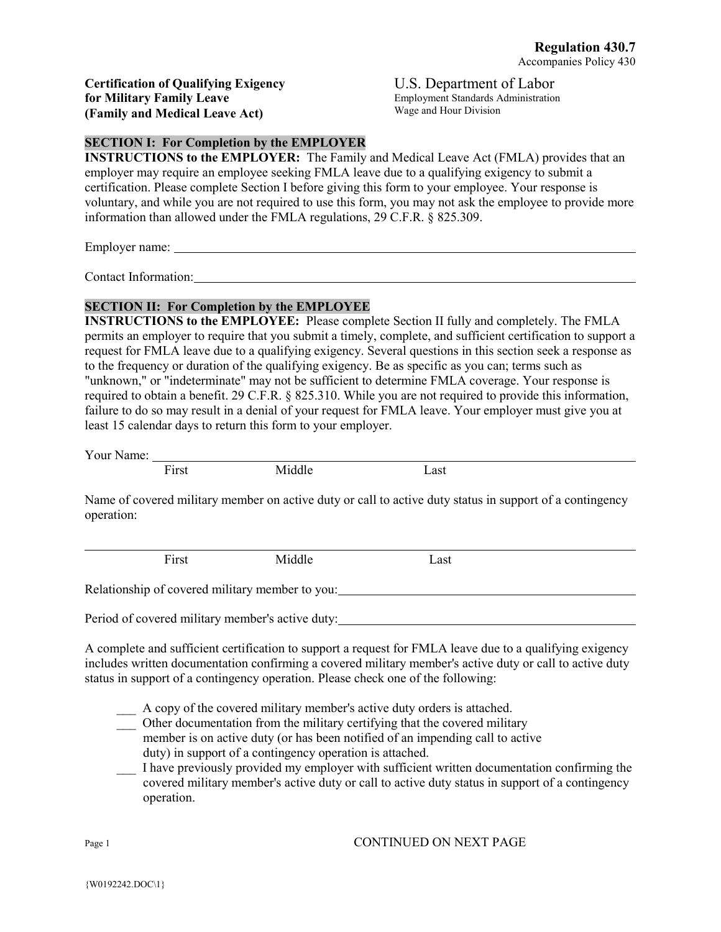**Certification of Qualifying Exigency for Military Family Leave (Family and Medical Leave Act)**

U.S. Department of Labor Employment Standards Administration Wage and Hour Division

## **SECTION I: For Completion by the EMPLOYER**

**INSTRUCTIONS to the EMPLOYER:** The Family and Medical Leave Act (FMLA) provides that an employer may require an employee seeking FMLA leave due to a qualifying exigency to submit a certification. Please complete Section I before giving this form to your employee. Your response is voluntary, and while you are not required to use this form, you may not ask the employee to provide more information than allowed under the FMLA regulations, 29 C.F.R. § 825.309.

Employer name:

Contact Information:

### **SECTION II: For Completion by the EMPLOYEE**

**INSTRUCTIONS to the EMPLOYEE:** Please complete Section II fully and completely. The FMLA permits an employer to require that you submit a timely, complete, and sufficient certification to support a request for FMLA leave due to a qualifying exigency. Several questions in this section seek a response as to the frequency or duration of the qualifying exigency. Be as specific as you can; terms such as "unknown," or "indeterminate" may not be sufficient to determine FMLA coverage. Your response is required to obtain a benefit. 29 C.F.R. § 825.310. While you are not required to provide this information, failure to do so may result in a denial of your request for FMLA leave. Your employer must give you at least 15 calendar days to return this form to your employer.

Your Name:

First Middle Last

Name of covered military member on active duty or call to active duty status in support of a contingency operation:

First Middle Last

Relationship of covered military member to you:

Period of covered military member's active duty:

A complete and sufficient certification to support a request for FMLA leave due to a qualifying exigency includes written documentation confirming a covered military member's active duty or call to active duty status in support of a contingency operation. Please check one of the following:

A copy of the covered military member's active duty orders is attached.

- \_\_\_ Other documentation from the military certifying that the covered military member is on active duty (or has been notified of an impending call to active duty) in support of a contingency operation is attached.
- \_\_\_ I have previously provided my employer with sufficient written documentation confirming the covered military member's active duty or call to active duty status in support of a contingency operation.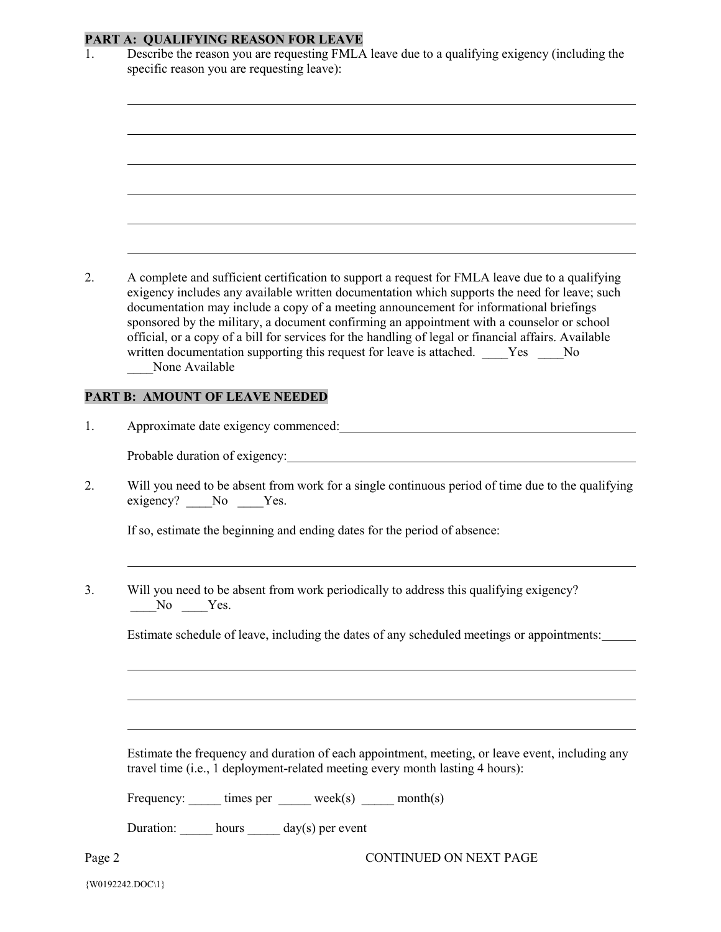# **PART A: QUALIFYING REASON FOR LEAVE**

| 1.     | Describe the reason you are requesting FMLA leave due to a qualifying exigency (including the                                                                                                                                                                                                                                                                                                                                                                                                                                                                                                     |
|--------|---------------------------------------------------------------------------------------------------------------------------------------------------------------------------------------------------------------------------------------------------------------------------------------------------------------------------------------------------------------------------------------------------------------------------------------------------------------------------------------------------------------------------------------------------------------------------------------------------|
|        | specific reason you are requesting leave):                                                                                                                                                                                                                                                                                                                                                                                                                                                                                                                                                        |
|        |                                                                                                                                                                                                                                                                                                                                                                                                                                                                                                                                                                                                   |
|        |                                                                                                                                                                                                                                                                                                                                                                                                                                                                                                                                                                                                   |
|        |                                                                                                                                                                                                                                                                                                                                                                                                                                                                                                                                                                                                   |
|        |                                                                                                                                                                                                                                                                                                                                                                                                                                                                                                                                                                                                   |
|        |                                                                                                                                                                                                                                                                                                                                                                                                                                                                                                                                                                                                   |
|        |                                                                                                                                                                                                                                                                                                                                                                                                                                                                                                                                                                                                   |
|        |                                                                                                                                                                                                                                                                                                                                                                                                                                                                                                                                                                                                   |
|        |                                                                                                                                                                                                                                                                                                                                                                                                                                                                                                                                                                                                   |
|        |                                                                                                                                                                                                                                                                                                                                                                                                                                                                                                                                                                                                   |
|        |                                                                                                                                                                                                                                                                                                                                                                                                                                                                                                                                                                                                   |
| 2.     | A complete and sufficient certification to support a request for FMLA leave due to a qualifying<br>exigency includes any available written documentation which supports the need for leave; such<br>documentation may include a copy of a meeting announcement for informational briefings<br>sponsored by the military, a document confirming an appointment with a counselor or school<br>official, or a copy of a bill for services for the handling of legal or financial affairs. Available<br>written documentation supporting this request for leave is attached. Yes No<br>None Available |
|        | PART B: AMOUNT OF LEAVE NEEDED                                                                                                                                                                                                                                                                                                                                                                                                                                                                                                                                                                    |
|        |                                                                                                                                                                                                                                                                                                                                                                                                                                                                                                                                                                                                   |
| 1.     |                                                                                                                                                                                                                                                                                                                                                                                                                                                                                                                                                                                                   |
|        | Probable duration of exigency: North Contract of the Contract of the Contract of the Contract of the Contract of the Contract of the Contract of the Contract of the Contract of the Contract of the Contract of the Contract                                                                                                                                                                                                                                                                                                                                                                     |
| 2.     | Will you need to be absent from work for a single continuous period of time due to the qualifying<br>exigency? No Yes.                                                                                                                                                                                                                                                                                                                                                                                                                                                                            |
|        | If so, estimate the beginning and ending dates for the period of absence:                                                                                                                                                                                                                                                                                                                                                                                                                                                                                                                         |
| 3.     | Will you need to be absent from work periodically to address this qualifying exigency?                                                                                                                                                                                                                                                                                                                                                                                                                                                                                                            |
|        | $N0$ $Yes.$                                                                                                                                                                                                                                                                                                                                                                                                                                                                                                                                                                                       |
|        | Estimate schedule of leave, including the dates of any scheduled meetings or appointments:                                                                                                                                                                                                                                                                                                                                                                                                                                                                                                        |
|        |                                                                                                                                                                                                                                                                                                                                                                                                                                                                                                                                                                                                   |
|        |                                                                                                                                                                                                                                                                                                                                                                                                                                                                                                                                                                                                   |
|        | Estimate the frequency and duration of each appointment, meeting, or leave event, including any<br>travel time (i.e., 1 deployment-related meeting every month lasting 4 hours):                                                                                                                                                                                                                                                                                                                                                                                                                  |
|        | Frequency: ______ times per ______ week(s) _____ month(s)                                                                                                                                                                                                                                                                                                                                                                                                                                                                                                                                         |
|        | Duration: hours ______ day(s) per event                                                                                                                                                                                                                                                                                                                                                                                                                                                                                                                                                           |
| Page 2 | CONTINUED ON NEXT PAGE                                                                                                                                                                                                                                                                                                                                                                                                                                                                                                                                                                            |